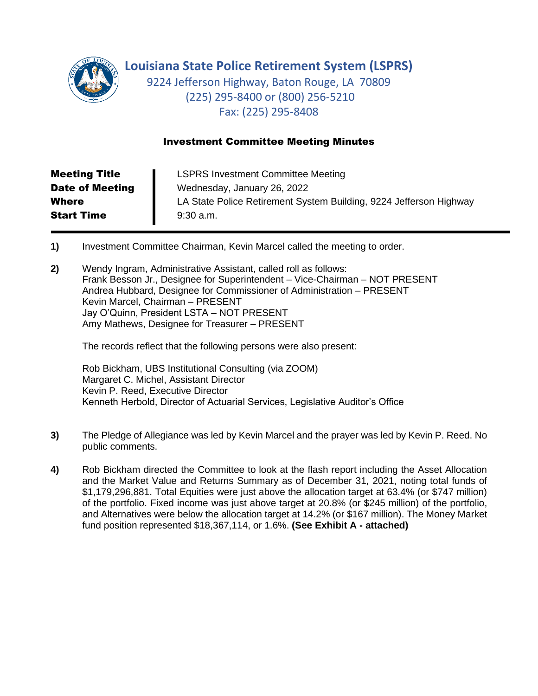

**Louisiana State Police Retirement System (LSPRS)**

9224 Jefferson Highway, Baton Rouge, LA 70809 (225) 295-8400 or (800) 256-5210 Fax: (225) 295-8408

## Investment Committee Meeting Minutes

| <b>Meeting Title</b>   | <b>LSPRS Investment Committee Meeting</b>                          |
|------------------------|--------------------------------------------------------------------|
| <b>Date of Meeting</b> | Wednesday, January 26, 2022                                        |
| <b>Where</b>           | LA State Police Retirement System Building, 9224 Jefferson Highway |
| <b>Start Time</b>      | $9:30$ a.m.                                                        |

- **1)** Investment Committee Chairman, Kevin Marcel called the meeting to order.
- **2)** Wendy Ingram, Administrative Assistant, called roll as follows: Frank Besson Jr., Designee for Superintendent – Vice-Chairman – NOT PRESENT Andrea Hubbard, Designee for Commissioner of Administration – PRESENT Kevin Marcel, Chairman – PRESENT Jay O'Quinn, President LSTA – NOT PRESENT Amy Mathews, Designee for Treasurer – PRESENT

The records reflect that the following persons were also present:

Rob Bickham, UBS Institutional Consulting (via ZOOM) Margaret C. Michel, Assistant Director Kevin P. Reed, Executive Director Kenneth Herbold, Director of Actuarial Services, Legislative Auditor's Office

- **3)** The Pledge of Allegiance was led by Kevin Marcel and the prayer was led by Kevin P. Reed. No public comments.
- **4)** Rob Bickham directed the Committee to look at the flash report including the Asset Allocation and the Market Value and Returns Summary as of December 31, 2021, noting total funds of \$1,179,296,881. Total Equities were just above the allocation target at 63.4% (or \$747 million) of the portfolio. Fixed income was just above target at 20.8% (or \$245 million) of the portfolio, and Alternatives were below the allocation target at 14.2% (or \$167 million). The Money Market fund position represented \$18,367,114, or 1.6%. **(See Exhibit A - attached)**